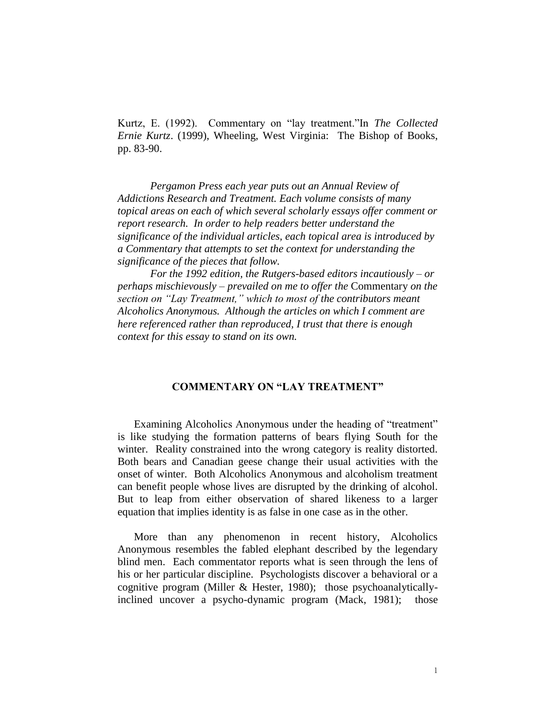Kurtz, E. (1992). Commentary on "lay treatment."In *The Collected Ernie Kurtz*. (1999), Wheeling, West Virginia: The Bishop of Books, pp. 83-90.

*Pergamon Press each year puts out an Annual Review of Addictions Research and Treatment. Each volume consists of many topical areas on each of which several scholarly essays offer comment or report research. In order to help readers better understand the significance of the individual articles, each topical area is introduced by a Commentary that attempts to set the context for understanding the significance of the pieces that follow.* 

*For the 1992 edition, the Rutgers-based editors incautiously – or perhaps mischievously – prevailed on me to offer the* Commentary *on the section on "Lay Treatment," which to most of the contributors meant Alcoholics Anonymous. Although the articles on which I comment are here referenced rather than reproduced, I trust that there is enough context for this essay to stand on its own.* 

## **COMMENTARY ON "LAY TREATMENT"**

Examining Alcoholics Anonymous under the heading of "treatment" is like studying the formation patterns of bears flying South for the winter. Reality constrained into the wrong category is reality distorted. Both bears and Canadian geese change their usual activities with the onset of winter. Both Alcoholics Anonymous and alcoholism treatment can benefit people whose lives are disrupted by the drinking of alcohol. But to leap from either observation of shared likeness to a larger equation that implies identity is as false in one case as in the other.

More than any phenomenon in recent history, Alcoholics Anonymous resembles the fabled elephant described by the legendary blind men. Each commentator reports what is seen through the lens of his or her particular discipline. Psychologists discover a behavioral or a cognitive program (Miller & Hester, 1980); those psychoanalyticallyinclined uncover a psycho-dynamic program (Mack, 1981); those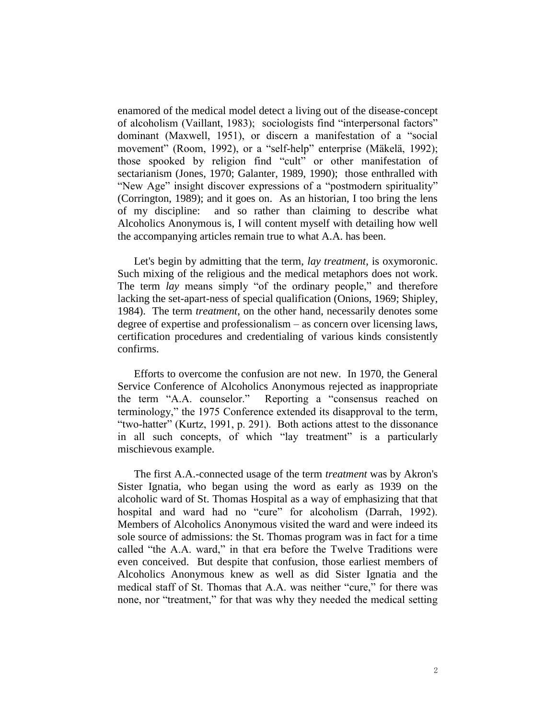enamored of the medical model detect a living out of the disease-concept of alcoholism (Vaillant, 1983); sociologists find "interpersonal factors" dominant (Maxwell, 1951), or discern a manifestation of a "social movement" (Room, 1992), or a "self-help" enterprise (Mäkelä, 1992); those spooked by religion find "cult" or other manifestation of sectarianism (Jones, 1970; Galanter, 1989, 1990); those enthralled with "New Age" insight discover expressions of a "postmodern spirituality" (Corrington, 1989); and it goes on. As an historian, I too bring the lens of my discipline: and so rather than claiming to describe what Alcoholics Anonymous is, I will content myself with detailing how well the accompanying articles remain true to what A.A. has been.

Let's begin by admitting that the term, *lay treatment*, is oxymoronic. Such mixing of the religious and the medical metaphors does not work. The term *lay* means simply "of the ordinary people," and therefore lacking the set-apart-ness of special qualification (Onions, 1969; Shipley, 1984). The term *treatment*, on the other hand, necessarily denotes some degree of expertise and professionalism – as concern over licensing laws, certification procedures and credentialing of various kinds consistently confirms.

Efforts to overcome the confusion are not new. In 1970, the General Service Conference of Alcoholics Anonymous rejected as inappropriate the term "A.A. counselor." Reporting a "consensus reached on terminology," the 1975 Conference extended its disapproval to the term, "two-hatter" (Kurtz, 1991, p. 291). Both actions attest to the dissonance in all such concepts, of which "lay treatment" is a particularly mischievous example.

The first A.A.-connected usage of the term *treatment* was by Akron's Sister Ignatia, who began using the word as early as 1939 on the alcoholic ward of St. Thomas Hospital as a way of emphasizing that that hospital and ward had no "cure" for alcoholism (Darrah, 1992). Members of Alcoholics Anonymous visited the ward and were indeed its sole source of admissions: the St. Thomas program was in fact for a time called "the A.A. ward," in that era before the Twelve Traditions were even conceived. But despite that confusion, those earliest members of Alcoholics Anonymous knew as well as did Sister Ignatia and the medical staff of St. Thomas that A.A. was neither "cure," for there was none, nor "treatment," for that was why they needed the medical setting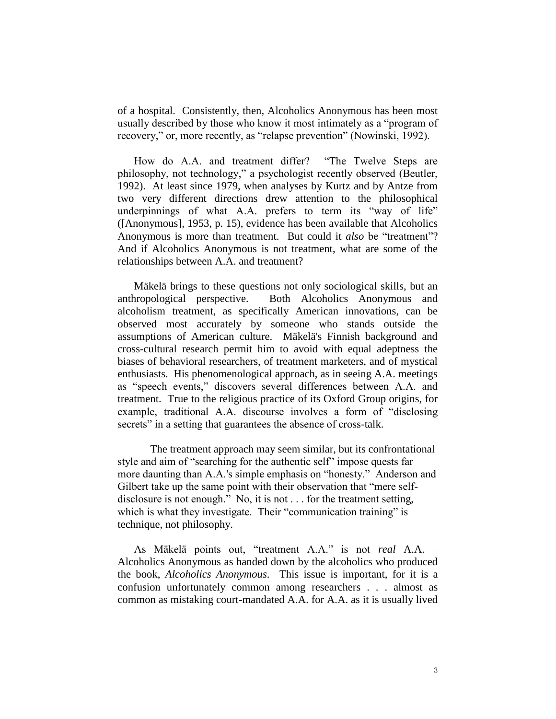of a hospital. Consistently, then, Alcoholics Anonymous has been most usually described by those who know it most intimately as a "program of recovery," or, more recently, as "relapse prevention" (Nowinski, 1992).

How do A.A. and treatment differ? "The Twelve Steps are philosophy, not technology," a psychologist recently observed (Beutler, 1992). At least since 1979, when analyses by Kurtz and by Antze from two very different directions drew attention to the philosophical underpinnings of what A.A. prefers to term its "way of life" ([Anonymous], 1953, p. 15), evidence has been available that Alcoholics Anonymous is more than treatment. But could it *also* be "treatment"? And if Alcoholics Anonymous is not treatment, what are some of the relationships between A.A. and treatment?

Mäkelä brings to these questions not only sociological skills, but an anthropological perspective. Both Alcoholics Anonymous and alcoholism treatment, as specifically American innovations, can be observed most accurately by someone who stands outside the assumptions of American culture. Mäkelä's Finnish background and cross-cultural research permit him to avoid with equal adeptness the biases of behavioral researchers, of treatment marketers, and of mystical enthusiasts. His phenomenological approach, as in seeing A.A. meetings as "speech events," discovers several differences between A.A. and treatment. True to the religious practice of its Oxford Group origins, for example, traditional A.A. discourse involves a form of "disclosing secrets" in a setting that guarantees the absence of cross-talk.

The treatment approach may seem similar, but its confrontational style and aim of "searching for the authentic self" impose quests far more daunting than A.A.'s simple emphasis on "honesty." Anderson and Gilbert take up the same point with their observation that "mere selfdisclosure is not enough." No, it is not . . . for the treatment setting, which is what they investigate. Their "communication training" is technique, not philosophy.

As Mäkelä points out, "treatment A.A." is not *real* A.A. – Alcoholics Anonymous as handed down by the alcoholics who produced the book, *Alcoholics Anonymous*. This issue is important, for it is a confusion unfortunately common among researchers . . . almost as common as mistaking court-mandated A.A. for A.A. as it is usually lived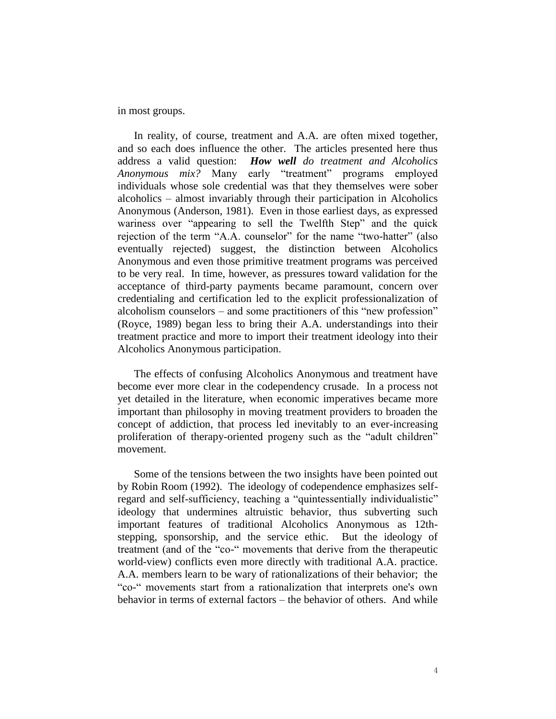in most groups.

In reality, of course, treatment and A.A. are often mixed together, and so each does influence the other. The articles presented here thus address a valid question: *How well do treatment and Alcoholics Anonymous mix?* Many early "treatment" programs employed individuals whose sole credential was that they themselves were sober alcoholics – almost invariably through their participation in Alcoholics Anonymous (Anderson, 1981). Even in those earliest days, as expressed wariness over "appearing to sell the Twelfth Step" and the quick rejection of the term "A.A. counselor" for the name "two-hatter" (also eventually rejected) suggest, the distinction between Alcoholics Anonymous and even those primitive treatment programs was perceived to be very real. In time, however, as pressures toward validation for the acceptance of third-party payments became paramount, concern over credentialing and certification led to the explicit professionalization of alcoholism counselors – and some practitioners of this "new profession" (Royce, 1989) began less to bring their A.A. understandings into their treatment practice and more to import their treatment ideology into their Alcoholics Anonymous participation.

The effects of confusing Alcoholics Anonymous and treatment have become ever more clear in the codependency crusade. In a process not yet detailed in the literature, when economic imperatives became more important than philosophy in moving treatment providers to broaden the concept of addiction, that process led inevitably to an ever-increasing proliferation of therapy-oriented progeny such as the "adult children" movement.

Some of the tensions between the two insights have been pointed out by Robin Room (1992). The ideology of codependence emphasizes selfregard and self-sufficiency, teaching a "quintessentially individualistic" ideology that undermines altruistic behavior, thus subverting such important features of traditional Alcoholics Anonymous as 12thstepping, sponsorship, and the service ethic. But the ideology of treatment (and of the "co-" movements that derive from the therapeutic world-view) conflicts even more directly with traditional A.A. practice. A.A. members learn to be wary of rationalizations of their behavior; the "co-" movements start from a rationalization that interprets one's own behavior in terms of external factors – the behavior of others. And while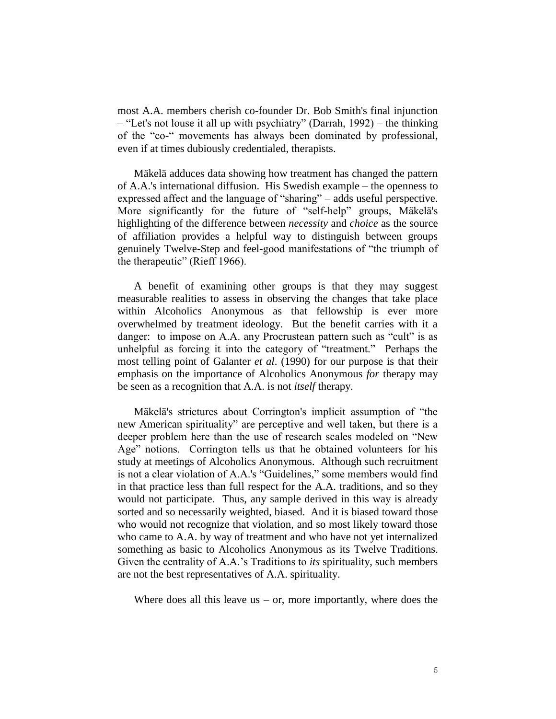most A.A. members cherish co-founder Dr. Bob Smith's final injunction – "Let's not louse it all up with psychiatry" (Darrah, 1992) – the thinking of the "co-" movements has always been dominated by professional, even if at times dubiously credentialed, therapists.

Mäkelä adduces data showing how treatment has changed the pattern of A.A.'s international diffusion. His Swedish example – the openness to expressed affect and the language of "sharing" – adds useful perspective. More significantly for the future of "self-help" groups, Mäkelä's highlighting of the difference between *necessity* and *choice* as the source of affiliation provides a helpful way to distinguish between groups genuinely Twelve-Step and feel-good manifestations of "the triumph of the therapeutic" (Rieff 1966).

A benefit of examining other groups is that they may suggest measurable realities to assess in observing the changes that take place within Alcoholics Anonymous as that fellowship is ever more overwhelmed by treatment ideology. But the benefit carries with it a danger: to impose on A.A. any Procrustean pattern such as "cult" is as unhelpful as forcing it into the category of "treatment." Perhaps the most telling point of Galanter *et al*. (1990) for our purpose is that their emphasis on the importance of Alcoholics Anonymous *for* therapy may be seen as a recognition that A.A. is not *itself* therapy.

Mäkelä's strictures about Corrington's implicit assumption of "the new American spirituality" are perceptive and well taken, but there is a deeper problem here than the use of research scales modeled on "New Age" notions. Corrington tells us that he obtained volunteers for his study at meetings of Alcoholics Anonymous. Although such recruitment is not a clear violation of A.A.'s "Guidelines," some members would find in that practice less than full respect for the A.A. traditions, and so they would not participate. Thus, any sample derived in this way is already sorted and so necessarily weighted, biased. And it is biased toward those who would not recognize that violation, and so most likely toward those who came to A.A. by way of treatment and who have not yet internalized something as basic to Alcoholics Anonymous as its Twelve Traditions. Given the centrality of A.A.'s Traditions to *its* spirituality, such members are not the best representatives of A.A. spirituality.

Where does all this leave us – or, more importantly, where does the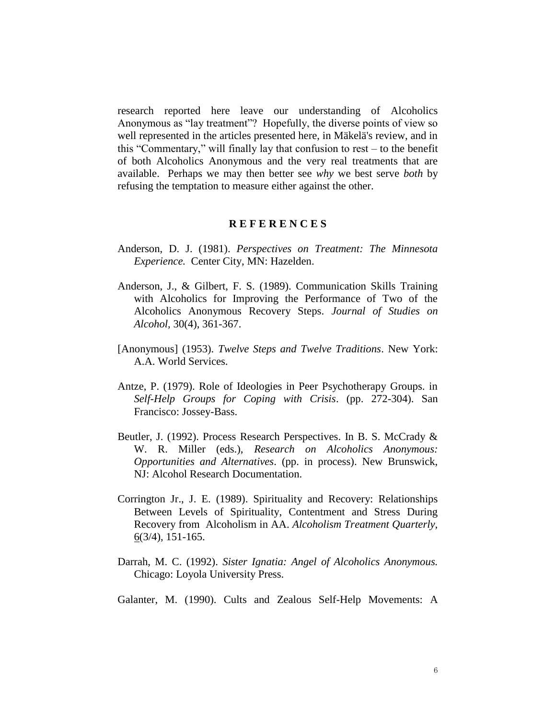research reported here leave our understanding of Alcoholics Anonymous as "lay treatment"? Hopefully, the diverse points of view so well represented in the articles presented here, in Mäkelä's review, and in this "Commentary," will finally lay that confusion to rest – to the benefit of both Alcoholics Anonymous and the very real treatments that are available. Perhaps we may then better see *why* we best serve *both* by refusing the temptation to measure either against the other.

## **R E F E R E N C E S**

- Anderson, D. J. (1981). *Perspectives on Treatment: The Minnesota Experience.* Center City, MN: Hazelden.
- Anderson, J., & Gilbert, F. S. (1989). Communication Skills Training with Alcoholics for Improving the Performance of Two of the Alcoholics Anonymous Recovery Steps. *Journal of Studies on Alcohol,* 30(4), 361-367.
- [Anonymous] (1953). *Twelve Steps and Twelve Traditions*. New York: A.A. World Services.
- Antze, P. (1979). Role of Ideologies in Peer Psychotherapy Groups. in *Self-Help Groups for Coping with Crisis*. (pp. 272-304). San Francisco: Jossey-Bass.
- Beutler, J. (1992). Process Research Perspectives. In B. S. McCrady & W. R. Miller (eds.), *Research on Alcoholics Anonymous: Opportunities and Alternatives*. (pp. in process). New Brunswick, NJ: Alcohol Research Documentation.
- Corrington Jr., J. E. (1989). Spirituality and Recovery: Relationships Between Levels of Spirituality, Contentment and Stress During Recovery from Alcoholism in AA. *Alcoholism Treatment Quarterly,* 6(3/4), 151-165.
- Darrah, M. C. (1992). *Sister Ignatia: Angel of Alcoholics Anonymous.* Chicago: Loyola University Press.
- Galanter, M. (1990). Cults and Zealous Self-Help Movements: A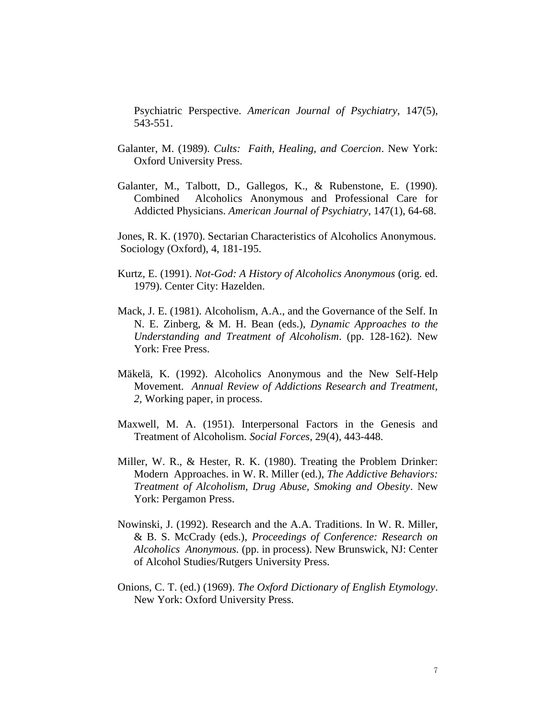Psychiatric Perspective. *American Journal of Psychiatry,* 147(5), 543-551.

- Galanter, M. (1989). *Cults: Faith, Healing, and Coercion*. New York: Oxford University Press.
- Galanter, M., Talbott, D., Gallegos, K., & Rubenstone, E. (1990). Combined Alcoholics Anonymous and Professional Care for Addicted Physicians. *American Journal of Psychiatry*, 147(1), 64-68.

Jones, R. K. (1970). Sectarian Characteristics of Alcoholics Anonymous. Sociology (Oxford), 4, 181-195.

- Kurtz, E. (1991). *Not-God: A History of Alcoholics Anonymous* (orig. ed. 1979). Center City: Hazelden.
- Mack, J. E. (1981). Alcoholism, A.A., and the Governance of the Self. In N. E. Zinberg, & M. H. Bean (eds.), *Dynamic Approaches to the Understanding and Treatment of Alcoholism*. (pp. 128-162). New York: Free Press.
- Mäkelä, K. (1992). Alcoholics Anonymous and the New Self-Help Movement. *Annual Review of Addictions Research and Treatment, 2,* Working paper, in process.
- Maxwell, M. A. (1951). Interpersonal Factors in the Genesis and Treatment of Alcoholism. *Social Forces*, 29(4), 443-448.
- Miller, W. R., & Hester, R. K. (1980). Treating the Problem Drinker: Modern Approaches. in W. R. Miller (ed.), *The Addictive Behaviors: Treatment of Alcoholism, Drug Abuse, Smoking and Obesity*. New York: Pergamon Press.
- Nowinski, J. (1992). Research and the A.A. Traditions. In W. R. Miller, & B. S. McCrady (eds.), *Proceedings of Conference: Research on Alcoholics Anonymous.* (pp. in process). New Brunswick, NJ: Center of Alcohol Studies/Rutgers University Press.
- Onions, C. T. (ed.) (1969). *The Oxford Dictionary of English Etymology*. New York: Oxford University Press.